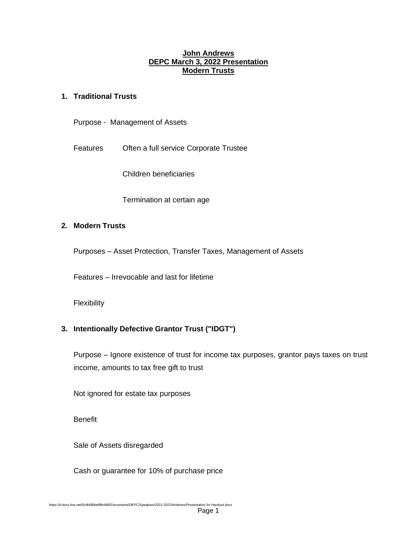#### **John Andrews DEPC March 3, 2022 Presentation Modern Trusts**

#### **1. Traditional Trusts**

Purpose - Management of Assets

Features Often a full service Corporate Trustee

Children beneficiaries

Termination at certain age

## **2. Modern Trusts**

Purposes – Asset Protection, Transfer Taxes, Management of Assets

Features – Irrevocable and last for lifetime

**Flexibility** 

#### **3. Intentionally Defective Grantor Trust ("IDGT")**

Purpose – Ignore existence of trust for income tax purposes, grantor pays taxes on trust income, amounts to tax free gift to trust

Not ignored for estate tax purposes

**Benefit** 

Sale of Assets disregarded

Cash or guarantee for 10% of purchase price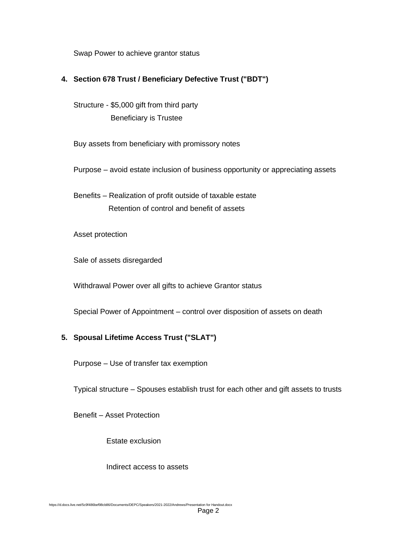Swap Power to achieve grantor status

## **4. Section 678 Trust / Beneficiary Defective Trust ("BDT")**

Structure - \$5,000 gift from third party Beneficiary is Trustee

Buy assets from beneficiary with promissory notes

Purpose – avoid estate inclusion of business opportunity or appreciating assets

Benefits – Realization of profit outside of taxable estate Retention of control and benefit of assets

Asset protection

Sale of assets disregarded

Withdrawal Power over all gifts to achieve Grantor status

Special Power of Appointment – control over disposition of assets on death

### **5. Spousal Lifetime Access Trust ("SLAT")**

Purpose – Use of transfer tax exemption

Typical structure – Spouses establish trust for each other and gift assets to trusts

Benefit – Asset Protection

Estate exclusion

Indirect access to assets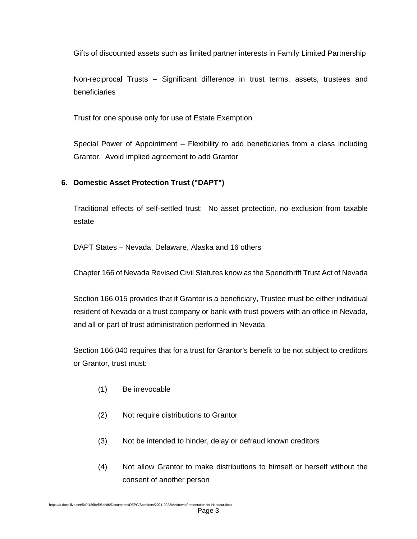Gifts of discounted assets such as limited partner interests in Family Limited Partnership

Non-reciprocal Trusts – Significant difference in trust terms, assets, trustees and beneficiaries

Trust for one spouse only for use of Estate Exemption

Special Power of Appointment – Flexibility to add beneficiaries from a class including Grantor. Avoid implied agreement to add Grantor

# **6. Domestic Asset Protection Trust ("DAPT")**

Traditional effects of self-settled trust: No asset protection, no exclusion from taxable estate

DAPT States – Nevada, Delaware, Alaska and 16 others

Chapter 166 of Nevada Revised Civil Statutes know as the Spendthrift Trust Act of Nevada

Section 166.015 provides that if Grantor is a beneficiary, Trustee must be either individual resident of Nevada or a trust company or bank with trust powers with an office in Nevada, and all or part of trust administration performed in Nevada

Section 166.040 requires that for a trust for Grantor's benefit to be not subject to creditors or Grantor, trust must:

- (1) Be irrevocable
- (2) Not require distributions to Grantor
- (3) Not be intended to hinder, delay or defraud known creditors
- (4) Not allow Grantor to make distributions to himself or herself without the consent of another person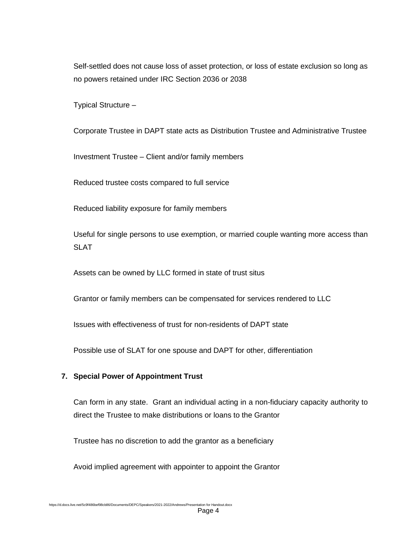Self-settled does not cause loss of asset protection, or loss of estate exclusion so long as no powers retained under IRC Section 2036 or 2038

Typical Structure –

Corporate Trustee in DAPT state acts as Distribution Trustee and Administrative Trustee

Investment Trustee – Client and/or family members

Reduced trustee costs compared to full service

Reduced liability exposure for family members

Useful for single persons to use exemption, or married couple wanting more access than SLAT

Assets can be owned by LLC formed in state of trust situs

Grantor or family members can be compensated for services rendered to LLC

Issues with effectiveness of trust for non-residents of DAPT state

Possible use of SLAT for one spouse and DAPT for other, differentiation

#### **7. Special Power of Appointment Trust**

Can form in any state. Grant an individual acting in a non-fiduciary capacity authority to direct the Trustee to make distributions or loans to the Grantor

Trustee has no discretion to add the grantor as a beneficiary

Avoid implied agreement with appointer to appoint the Grantor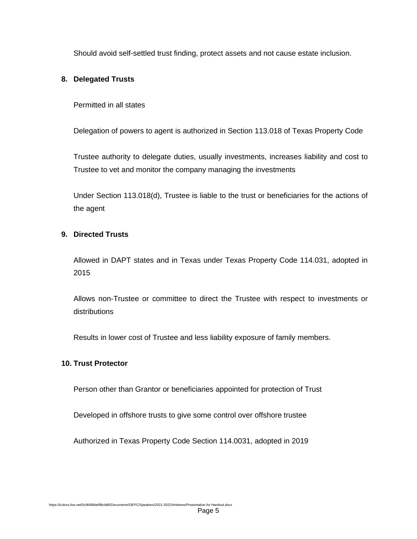Should avoid self-settled trust finding, protect assets and not cause estate inclusion.

## **8. Delegated Trusts**

Permitted in all states

Delegation of powers to agent is authorized in Section 113.018 of Texas Property Code

Trustee authority to delegate duties, usually investments, increases liability and cost to Trustee to vet and monitor the company managing the investments

Under Section 113.018(d), Trustee is liable to the trust or beneficiaries for the actions of the agent

### **9. Directed Trusts**

Allowed in DAPT states and in Texas under Texas Property Code 114.031, adopted in 2015

Allows non-Trustee or committee to direct the Trustee with respect to investments or distributions

Results in lower cost of Trustee and less liability exposure of family members.

#### **10. Trust Protector**

Person other than Grantor or beneficiaries appointed for protection of Trust

Developed in offshore trusts to give some control over offshore trustee

Authorized in Texas Property Code Section 114.0031, adopted in 2019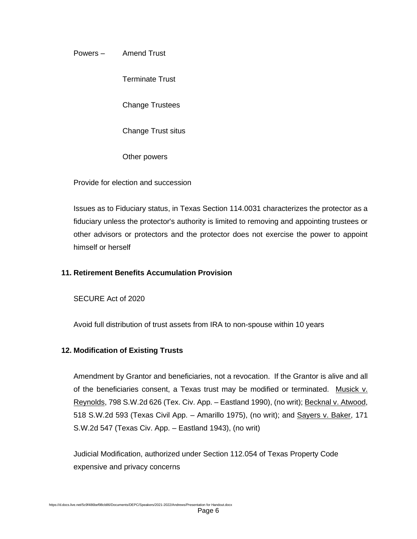Powers – Amend Trust

Terminate Trust

Change Trustees

Change Trust situs

Other powers

Provide for election and succession

Issues as to Fiduciary status, in Texas Section 114.0031 characterizes the protector as a fiduciary unless the protector's authority is limited to removing and appointing trustees or other advisors or protectors and the protector does not exercise the power to appoint himself or herself

### **11. Retirement Benefits Accumulation Provision**

SECURE Act of 2020

Avoid full distribution of trust assets from IRA to non-spouse within 10 years

#### **12. Modification of Existing Trusts**

Amendment by Grantor and beneficiaries, not a revocation. If the Grantor is alive and all of the beneficiaries consent, a Texas trust may be modified or terminated. Musick v. Reynolds, 798 S.W.2d 626 (Tex. Civ. App. – Eastland 1990), (no writ); Becknal v. Atwood, 518 S.W.2d 593 (Texas Civil App. - Amarillo 1975), (no writ); and Sayers v. Baker, 171 S.W.2d 547 (Texas Civ. App. – Eastland 1943), (no writ)

Judicial Modification, authorized under Section 112.054 of Texas Property Code expensive and privacy concerns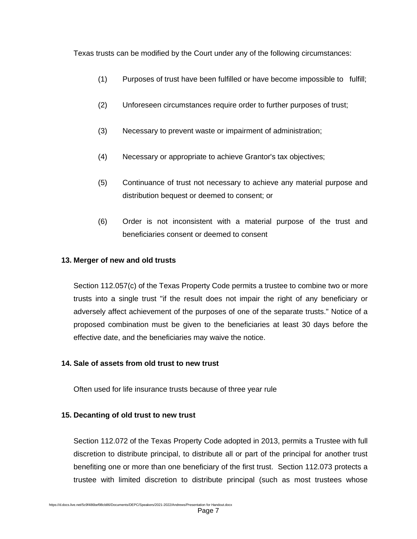Texas trusts can be modified by the Court under any of the following circumstances:

- (1) Purposes of trust have been fulfilled or have become impossible to fulfill;
- (2) Unforeseen circumstances require order to further purposes of trust;
- (3) Necessary to prevent waste or impairment of administration;
- (4) Necessary or appropriate to achieve Grantor's tax objectives;
- (5) Continuance of trust not necessary to achieve any material purpose and distribution bequest or deemed to consent; or
- (6) Order is not inconsistent with a material purpose of the trust and beneficiaries consent or deemed to consent

### **13. Merger of new and old trusts**

Section 112.057(c) of the Texas Property Code permits a trustee to combine two or more trusts into a single trust "if the result does not impair the right of any beneficiary or adversely affect achievement of the purposes of one of the separate trusts." Notice of a proposed combination must be given to the beneficiaries at least 30 days before the effective date, and the beneficiaries may waive the notice.

#### **14. Sale of assets from old trust to new trust**

Often used for life insurance trusts because of three year rule

# **15. Decanting of old trust to new trust**

Section 112.072 of the Texas Property Code adopted in 2013, permits a Trustee with full discretion to distribute principal, to distribute all or part of the principal for another trust benefiting one or more than one beneficiary of the first trust. Section 112.073 protects a trustee with limited discretion to distribute principal (such as most trustees whose